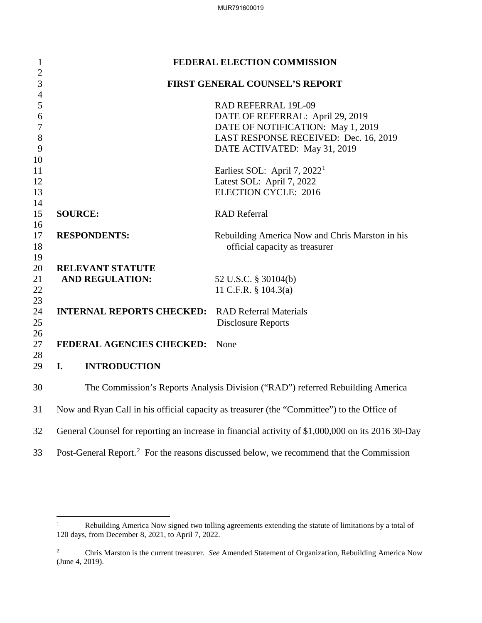| $\mathbf{1}$                   |                                                         | FEDERAL ELECTION COMMISSION                                                                         |
|--------------------------------|---------------------------------------------------------|-----------------------------------------------------------------------------------------------------|
| $\mathbf{2}$<br>$\mathfrak{Z}$ |                                                         | FIRST GENERAL COUNSEL'S REPORT                                                                      |
| $\overline{4}$                 |                                                         |                                                                                                     |
| 5                              |                                                         | RAD REFERRAL 19L-09                                                                                 |
| 6                              |                                                         | DATE OF REFERRAL: April 29, 2019                                                                    |
| $\boldsymbol{7}$               |                                                         | DATE OF NOTIFICATION: May 1, 2019                                                                   |
| 8                              |                                                         | LAST RESPONSE RECEIVED: Dec. 16, 2019                                                               |
| 9                              |                                                         | DATE ACTIVATED: May 31, 2019                                                                        |
| 10                             |                                                         |                                                                                                     |
| 11                             |                                                         | Earliest SOL: April 7, $20221$                                                                      |
| 12                             |                                                         | Latest SOL: April 7, 2022                                                                           |
| 13                             |                                                         | <b>ELECTION CYCLE: 2016</b>                                                                         |
| 14                             |                                                         |                                                                                                     |
| 15                             | <b>SOURCE:</b>                                          | <b>RAD Referral</b>                                                                                 |
| 16                             |                                                         |                                                                                                     |
| 17                             | <b>RESPONDENTS:</b>                                     | Rebuilding America Now and Chris Marston in his                                                     |
| 18                             |                                                         | official capacity as treasurer                                                                      |
| 19                             |                                                         |                                                                                                     |
| 20                             | <b>RELEVANT STATUTE</b><br><b>AND REGULATION:</b>       |                                                                                                     |
| 21<br>22                       |                                                         | 52 U.S.C. § 30104(b)<br>11 C.F.R. $\S$ 104.3(a)                                                     |
| 23                             |                                                         |                                                                                                     |
| 24                             | <b>INTERNAL REPORTS CHECKED:</b> RAD Referral Materials |                                                                                                     |
| 25                             |                                                         | <b>Disclosure Reports</b>                                                                           |
| 26                             |                                                         |                                                                                                     |
| 27                             | FEDERAL AGENCIES CHECKED:                               | None                                                                                                |
| 28                             |                                                         |                                                                                                     |
| 29                             | I.<br><b>INTRODUCTION</b>                               |                                                                                                     |
| 30                             |                                                         | The Commission's Reports Analysis Division ("RAD") referred Rebuilding America                      |
| 31                             |                                                         | Now and Ryan Call in his official capacity as treasurer (the "Committee") to the Office of          |
| 32                             |                                                         | General Counsel for reporting an increase in financial activity of \$1,000,000 on its 2016 30-Day   |
| 33                             |                                                         | Post-General Report. <sup>2</sup> For the reasons discussed below, we recommend that the Commission |

<span id="page-0-0"></span> $\frac{1}{1}$  Rebuilding America Now signed two tolling agreements extending the statute of limitations by a total of 120 days, from December 8, 2021, to April 7, 2022.

<span id="page-0-1"></span><sup>2</sup> Chris Marston is the current treasurer. *See* Amended Statement of Organization, Rebuilding America Now (June 4, 2019).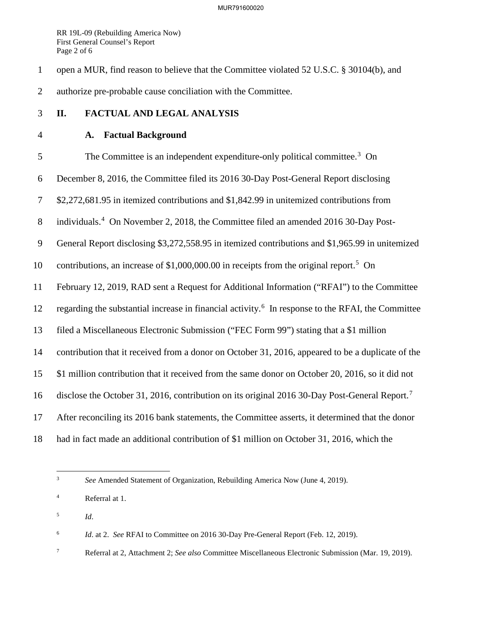RR 19L-09 (Rebuilding America Now) First General Counsel's Report Page 2 of 6

1 open a MUR, find reason to believe that the Committee violated 52 U.S.C. § 30104(b), and 2 authorize pre-probable cause conciliation with the Committee.

### 3 **II. FACTUAL AND LEGAL ANALYSIS**

## 4 **A. Factual Background**

5 The Committee is an independent expenditure-only political committee.<sup>[3](#page-1-0)</sup> On 6 December 8, 2016, the Committee filed its 2016 30-Day Post-General Report disclosing 7 \$2,272,681.95 in itemized contributions and \$1,842.99 in unitemized contributions from 8 individuals.<sup>[4](#page-1-1)</sup> On November 2, 2018, the Committee filed an amended 2016 30-Day Post-9 General Report disclosing \$3,272,558.95 in itemized contributions and \$1,965.99 in unitemized 10 contributions, an increase of  $$1,000,000.00$  in receipts from the original report.<sup>[5](#page-1-2)</sup> On 11 February 12, 2019, RAD sent a Request for Additional Information ("RFAI") to the Committee 12 regarding the substantial increase in financial activity.<sup>[6](#page-1-3)</sup> In response to the RFAI, the Committee 13 filed a Miscellaneous Electronic Submission ("FEC Form 99") stating that a \$1 million 14 contribution that it received from a donor on October 31, 2016, appeared to be a duplicate of the 15 \$1 million contribution that it received from the same donor on October 20, 2016, so it did not 16 disclose the October 31, 2016, contribution on its original 2016 30-Day Post-General Report.<sup>[7](#page-1-4)</sup> 17 After reconciling its 2016 bank statements, the Committee asserts, it determined that the donor 18 had in fact made an additional contribution of \$1 million on October 31, 2016, which the

<span id="page-1-0"></span>3 *See* Amended Statement of Organization, Rebuilding America Now (June 4, 2019).

<span id="page-1-2"></span>5 *Id*.

 $\overline{a}$ 

<span id="page-1-3"></span> 6 *Id*. at 2. *See* RFAI to Committee on 2016 30-Day Pre-General Report (Feb. 12, 2019).

<span id="page-1-4"></span>7 Referral at 2, Attachment 2; *See also* Committee Miscellaneous Electronic Submission (Mar. 19, 2019).

<span id="page-1-1"></span><sup>4</sup> Referral at 1.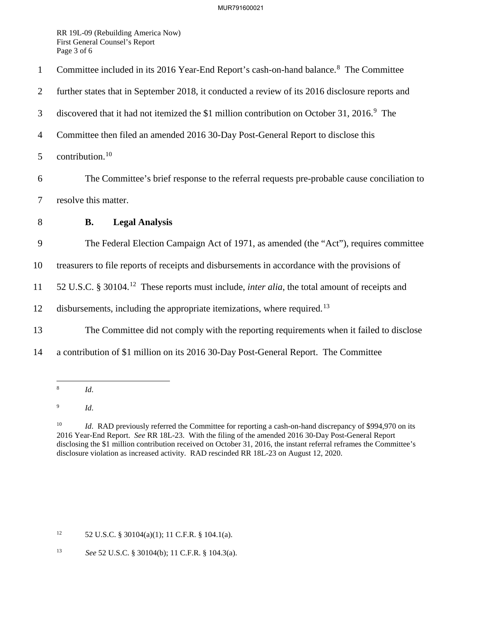#### MUR791600021

RR 19L-09 (Rebuilding America Now) First General Counsel's Report Page 3 of 6

1 Committee included in its 2016 Year-End Report's cash-on-hand balance.<sup>[8](#page-2-0)</sup> The Committee 2 further states that in September 2018, it conducted a review of its 2016 disclosure reports and discovered that it had not itemized the \$1 million contribution on October 31, 2016.<sup>[9](#page-2-1)</sup> The 4 Committee then filed an amended 2016 30-Day Post-General Report to disclose this  $5$  contribution.<sup>[10](#page-2-2)</sup> 6 The Committee's brief response to the referral requests pre-probable cause conciliation to 7 resolve this matter. 8 **B. Legal Analysis**  9 The Federal Election Campaign Act of 1971, as amended (the "Act"), requires committee 10 treasurers to file reports of receipts and disbursements in accordance with the provisions of 11 52 U.S.C. § 30104.<sup>[12](#page-2-3)</sup> These reports must include, *inter alia*, the total amount of receipts and 12 disbursements, including the appropriate itemizations, where required.<sup>[13](#page-2-4)</sup> 13 The Committee did not comply with the reporting requirements when it failed to disclose 14 a contribution of \$1 million on its 2016 30-Day Post-General Report. The Committee

<span id="page-2-0"></span> $\frac{1}{8}$ *Id*.

<span id="page-2-1"></span>9 *Id*.

<span id="page-2-3"></span><sup>12</sup> 52 U.S.C. § 30104(a)(1); 11 C.F.R. § 104.1(a).

<span id="page-2-4"></span>13 *See* 52 U.S.C. § 30104(b); 11 C.F.R. § 104.3(a).

<span id="page-2-2"></span><sup>&</sup>lt;sup>10</sup> *Id.* RAD previously referred the Committee for reporting a cash-on-hand discrepancy of \$994,970 on its 2016 Year-End Report. *See* RR 18L-23. With the filing of the amended 2016 30-Day Post-General Report disclosing the \$1 million contribution received on October 31, 2016, the instant referral reframes the Committee's disclosure violation as increased activity. RAD rescinded RR 18L-23 on August 12, 2020.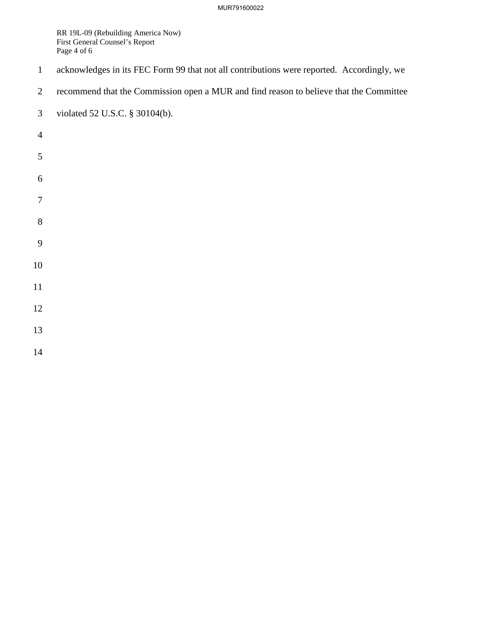### MUR791600022

RR 19L-09 (Rebuilding America Now) First General Counsel's Report Page 4 of 6

- 1 acknowledges in its FEC Form 99 that not all contributions were reported. Accordingly, we
- 2 recommend that the Commission open a MUR and find reason to believe that the Committee
- 3 violated 52 U.S.C. § 30104(b).
- 
- 
- 
- 
- 
- 
- 
- 
- 
- 
- 
- 
- 
- 
- 
-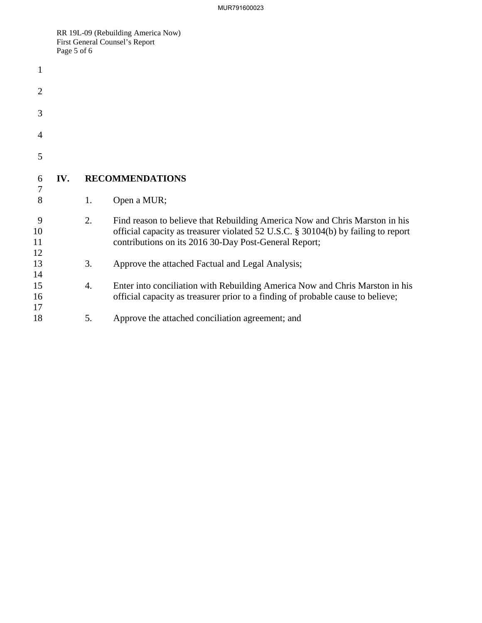RR 19L-09 (Rebuilding America Now) First General Counsel's Report Page 5 of 6

| 1                   |     |    |                                                                                                                                                                                                                           |
|---------------------|-----|----|---------------------------------------------------------------------------------------------------------------------------------------------------------------------------------------------------------------------------|
| $\overline{2}$      |     |    |                                                                                                                                                                                                                           |
| 3                   |     |    |                                                                                                                                                                                                                           |
| 4                   |     |    |                                                                                                                                                                                                                           |
| 5                   |     |    |                                                                                                                                                                                                                           |
| 6<br>$\overline{7}$ | IV. |    | <b>RECOMMENDATIONS</b>                                                                                                                                                                                                    |
| 8                   |     | 1. | Open a MUR;                                                                                                                                                                                                               |
| 9<br>10<br>11<br>12 |     | 2. | Find reason to believe that Rebuilding America Now and Chris Marston in his<br>official capacity as treasurer violated 52 U.S.C. § 30104(b) by failing to report<br>contributions on its 2016 30-Day Post-General Report; |
| 13<br>14            |     | 3. | Approve the attached Factual and Legal Analysis;                                                                                                                                                                          |
| 15<br>16<br>17      |     | 4. | Enter into conciliation with Rebuilding America Now and Chris Marston in his<br>official capacity as treasurer prior to a finding of probable cause to believe;                                                           |
| 18                  |     | 5. | Approve the attached conciliation agreement; and                                                                                                                                                                          |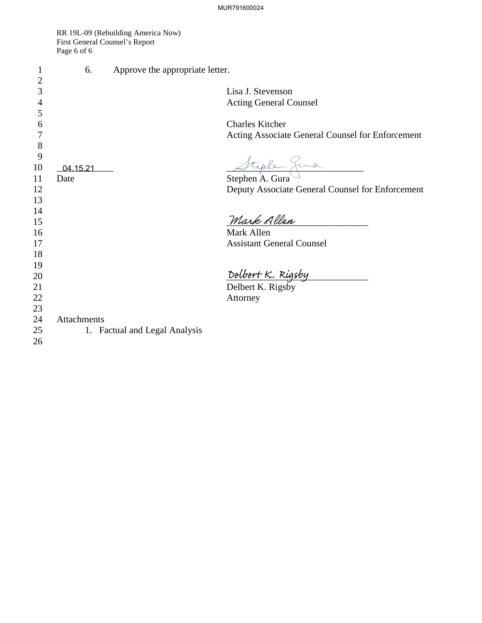RR 19L-09 (Rebuilding America Now) First General Counsel's Report Page 6 of 6

| 1              | 6.          | Approve the appropriate letter.   |                                                  |
|----------------|-------------|-----------------------------------|--------------------------------------------------|
| 2              |             |                                   |                                                  |
| 3              |             |                                   | Lisa J. Stevenson                                |
| $\overline{4}$ |             |                                   | <b>Acting General Counsel</b>                    |
| 5              |             |                                   |                                                  |
| 6              |             |                                   | <b>Charles Kitcher</b>                           |
| 7              |             |                                   | Acting Associate General Counsel for Enforcement |
| 8              |             |                                   |                                                  |
| 9<br>10        | 04.15.21    |                                   | Stephen Juna                                     |
| 11             | Date        |                                   |                                                  |
| 12             |             |                                   | Deputy Associate General Counsel for Enforcement |
| 13             |             |                                   |                                                  |
| 14             |             |                                   |                                                  |
| 15             |             |                                   | Mark Allen                                       |
| 16             |             |                                   | Mark Allen                                       |
| 17             |             |                                   | <b>Assistant General Counsel</b>                 |
| 18             |             |                                   |                                                  |
| 19             |             |                                   |                                                  |
| 20             |             |                                   | Delbert K. Rigsby<br>Delbert K. Rigsby           |
|                |             |                                   |                                                  |
| 21<br>22       |             |                                   | Attorney                                         |
| 23             |             |                                   |                                                  |
| 24             | Attachments |                                   |                                                  |
| 25             | 1.          | <b>Factual and Legal Analysis</b> |                                                  |
| 26             |             |                                   |                                                  |
|                |             |                                   |                                                  |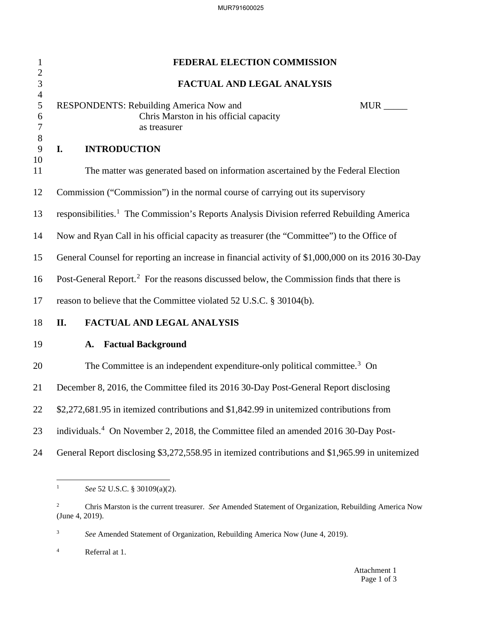| $\mathbf{1}$                  | FEDERAL ELECTION COMMISSION                                                                                            |  |  |  |
|-------------------------------|------------------------------------------------------------------------------------------------------------------------|--|--|--|
| $\mathbf{2}$<br>3             | <b>FACTUAL AND LEGAL ANALYSIS</b>                                                                                      |  |  |  |
| $\overline{4}$<br>5<br>6<br>7 | <b>RESPONDENTS: Rebuilding America Now and</b><br><b>MUR</b><br>Chris Marston in his official capacity<br>as treasurer |  |  |  |
| 8<br>9                        | <b>INTRODUCTION</b><br>I.                                                                                              |  |  |  |
| 10<br>11                      | The matter was generated based on information ascertained by the Federal Election                                      |  |  |  |
| 12                            | Commission ("Commission") in the normal course of carrying out its supervisory                                         |  |  |  |
| 13                            | responsibilities. <sup>1</sup> The Commission's Reports Analysis Division referred Rebuilding America                  |  |  |  |
| 14                            | Now and Ryan Call in his official capacity as treasurer (the "Committee") to the Office of                             |  |  |  |
| 15                            | General Counsel for reporting an increase in financial activity of \$1,000,000 on its 2016 30-Day                      |  |  |  |
| 16                            | Post-General Report. <sup>2</sup> For the reasons discussed below, the Commission finds that there is                  |  |  |  |
| 17                            | reason to believe that the Committee violated 52 U.S.C. § 30104(b).                                                    |  |  |  |
| 18                            | <b>FACTUAL AND LEGAL ANALYSIS</b><br>II.                                                                               |  |  |  |
| 19                            | <b>Factual Background</b><br>A.                                                                                        |  |  |  |
| 20                            | The Committee is an independent expenditure-only political committee. <sup>3</sup> On                                  |  |  |  |
| 21                            | December 8, 2016, the Committee filed its 2016 30-Day Post-General Report disclosing                                   |  |  |  |
| 22                            | \$2,272,681.95 in itemized contributions and \$1,842.99 in unitemized contributions from                               |  |  |  |
| 23                            | individuals. <sup>4</sup> On November 2, 2018, the Committee filed an amended 2016 30-Day Post-                        |  |  |  |
| 24                            | General Report disclosing \$3,272,558.95 in itemized contributions and \$1,965.99 in unitemized                        |  |  |  |

<span id="page-6-3"></span>4 Referral at 1.

<span id="page-6-0"></span> $\frac{1}{1}$ *See* 52 U.S.C. § 30109(a)(2).

<span id="page-6-1"></span><sup>2</sup> Chris Marston is the current treasurer. *See* Amended Statement of Organization, Rebuilding America Now (June 4, 2019).

<span id="page-6-2"></span> 3 *See* Amended Statement of Organization, Rebuilding America Now (June 4, 2019).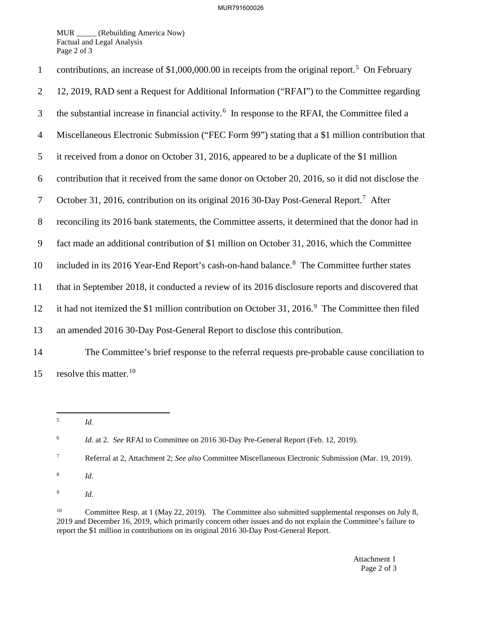MUR \_\_\_\_\_ (Rebuilding America Now) Factual and Legal Analysis Page 2 of 3

| $\mathbf{1}$   | contributions, an increase of $$1,000,000.00$ in receipts from the original report. <sup>5</sup> On February |
|----------------|--------------------------------------------------------------------------------------------------------------|
| 2              | 12, 2019, RAD sent a Request for Additional Information ("RFAI") to the Committee regarding                  |
| 3              | the substantial increase in financial activity. <sup>6</sup> In response to the RFAI, the Committee filed a  |
| $\overline{4}$ | Miscellaneous Electronic Submission ("FEC Form 99") stating that a \$1 million contribution that             |
| 5              | it received from a donor on October 31, 2016, appeared to be a duplicate of the \$1 million                  |
| 6              | contribution that it received from the same donor on October 20, 2016, so it did not disclose the            |
| $\tau$         | October 31, 2016, contribution on its original 2016 30-Day Post-General Report. <sup>7</sup> After           |
| 8              | reconciling its 2016 bank statements, the Committee asserts, it determined that the donor had in             |
| 9              | fact made an additional contribution of \$1 million on October 31, 2016, which the Committee                 |
| 10             | included in its 2016 Year-End Report's cash-on-hand balance. <sup>8</sup> The Committee further states       |
| 11             | that in September 2018, it conducted a review of its 2016 disclosure reports and discovered that             |
| 12             | it had not itemized the \$1 million contribution on October 31, 2016. <sup>9</sup> The Committee then filed  |
| 13             | an amended 2016 30-Day Post-General Report to disclose this contribution.                                    |
| 14             | The Committee's brief response to the referral requests pre-probable cause conciliation to                   |
| 15             | resolve this matter. <sup>10</sup>                                                                           |

<span id="page-7-0"></span> $\frac{1}{5}$ 

*Id*.

<span id="page-7-3"></span>8 *Id*.

<span id="page-7-4"></span>9 *Id*.

<span id="page-7-5"></span><sup>10</sup> Committee Resp. at 1 (May 22, 2019). The Committee also submitted supplemental responses on July 8, 2019 and December 16, 2019, which primarily concern other issues and do not explain the Committee's failure to report the \$1 million in contributions on its original 2016 30-Day Post-General Report.

> Attachment 1 Page 2 of 3

<span id="page-7-1"></span><sup>6</sup> *Id*. at 2. *See* RFAI to Committee on 2016 30-Day Pre-General Report (Feb. 12, 2019).

<span id="page-7-2"></span><sup>7</sup> Referral at 2, Attachment 2; *See also* Committee Miscellaneous Electronic Submission (Mar. 19, 2019).